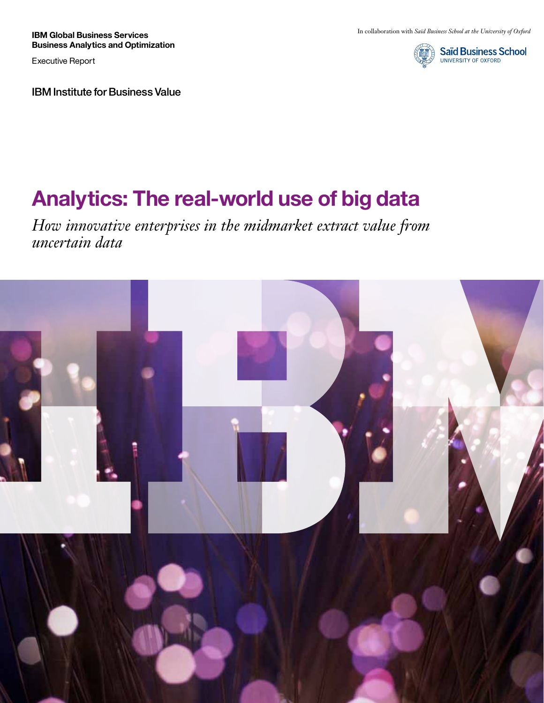**IBM Global Business Services Business Analytics and Optimization**

Executive Report

IBM Institute for Business Value



# **Analytics: The real-world use of big data**

*How innovative enterprises in the midmarket extract value from uncertain data*

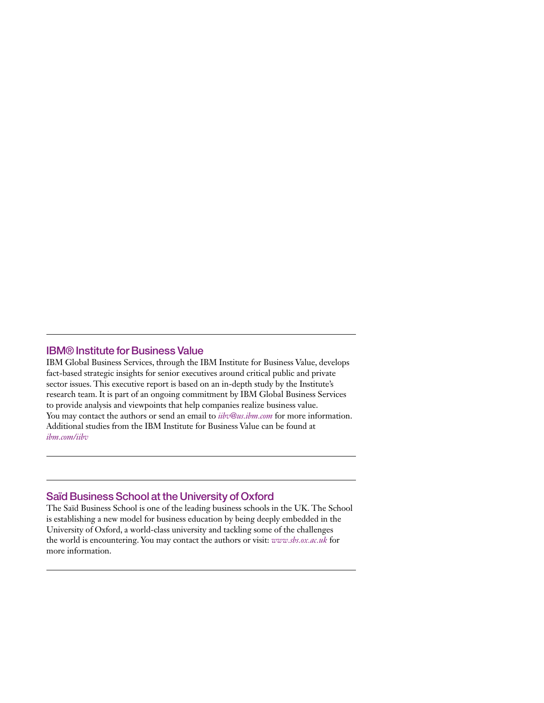# IBM® Institute for Business Value

IBM Global Business Services, through the IBM Institute for Business Value, develops fact-based strategic insights for senior executives around critical public and private sector issues. This executive report is based on an in-depth study by the Institute's research team. It is part of an ongoing commitment by IBM Global Business Services to provide analysis and viewpoints that help companies realize business value. You may contact the authors or send an email to *[iibv@us.ibm.com](mailto:iibv%40us.ibm.com?subject=Information%20on%20your%20new%20Thought%20Leadership)* for more information. Additional studies from the IBM Institute for Business Value can be found at *[ibm.com/iibv](http://www.ibm.com/iibv)*

# Saïd Business School at the University of Oxford

The Saïd Business School is one of the leading business schools in the UK. The School is establishing a new model for business education by being deeply embedded in the University of Oxford, a world-class university and tackling some of the challenges the world is encountering. You may contact the authors or visit: *www.sbs.ox.ac.uk* for more information.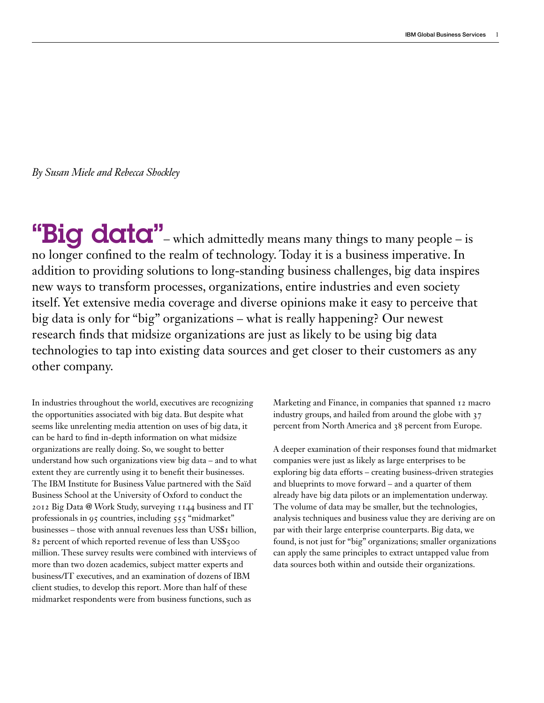*By Susan Miele and Rebecca Shockley*

"Big data"-which admittedly means many things to many people-is no longer confined to the realm of technology. Today it is a business imperative. In addition to providing solutions to long-standing business challenges, big data inspires new ways to transform processes, organizations, entire industries and even society itself. Yet extensive media coverage and diverse opinions make it easy to perceive that big data is only for "big" organizations – what is really happening? Our newest research finds that midsize organizations are just as likely to be using big data technologies to tap into existing data sources and get closer to their customers as any other company.

In industries throughout the world, executives are recognizing the opportunities associated with big data. But despite what seems like unrelenting media attention on uses of big data, it can be hard to find in-depth information on what midsize organizations are really doing. So, we sought to better understand how such organizations view big data – and to what extent they are currently using it to benefit their businesses. The IBM Institute for Business Value partnered with the Saïd Business School at the University of Oxford to conduct the 2012 Big Data @ Work Study, surveying 1144 business and IT professionals in 95 countries, including 555 "midmarket" businesses – those with annual revenues less than US\$1 billion, 82 percent of which reported revenue of less than US\$500 million. These survey results were combined with interviews of more than two dozen academics, subject matter experts and business/IT executives, and an examination of dozens of IBM client studies, to develop this report. More than half of these midmarket respondents were from business functions, such as

Marketing and Finance, in companies that spanned 12 macro industry groups, and hailed from around the globe with 37 percent from North America and 38 percent from Europe.

A deeper examination of their responses found that midmarket companies were just as likely as large enterprises to be exploring big data efforts – creating business-driven strategies and blueprints to move forward – and a quarter of them already have big data pilots or an implementation underway. The volume of data may be smaller, but the technologies, analysis techniques and business value they are deriving are on par with their large enterprise counterparts. Big data, we found, is not just for "big" organizations; smaller organizations can apply the same principles to extract untapped value from data sources both within and outside their organizations.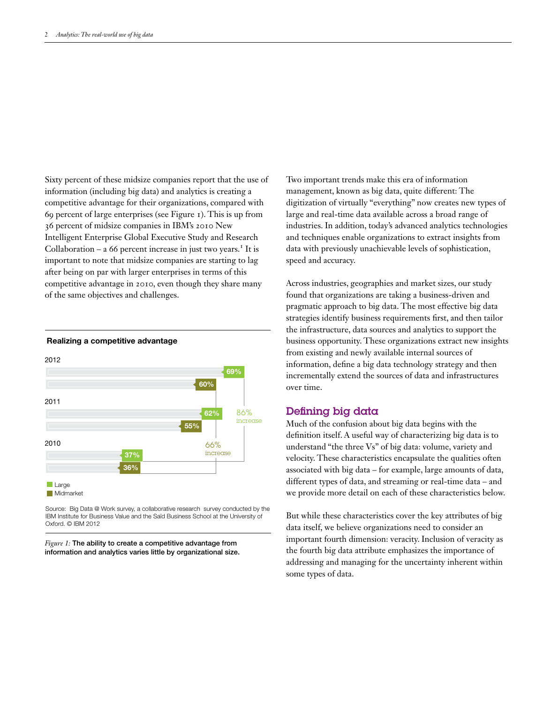Sixty percent of these midsize companies report that the use of information (including big data) and analytics is creating a competitive advantage for their organizations, compared with 69 percent of large enterprises (see Figure 1). This is up from 36 percent of midsize companies in IBM's 2010 New Intelligent Enterprise Global Executive Study and Research Collaboration  $-$  a 66 percent increase in just two years.<sup>1</sup> It is important to note that midsize companies are starting to lag after being on par with larger enterprises in terms of this competitive advantage in 2010, even though they share many of the same objectives and challenges.



#### Realizing a competitive advantage

Source: Big Data @ Work survey, a collaborative research survey conducted by the IBM Institute for Business Value and the Saïd Business School at the University of Oxford. © IBM 2012

*Figure 1:* The ability to create a competitive advantage from information and analytics varies little by organizational size. Two important trends make this era of information management, known as big data, quite different: The digitization of virtually "everything" now creates new types of large and real-time data available across a broad range of industries. In addition, today's advanced analytics technologies and techniques enable organizations to extract insights from data with previously unachievable levels of sophistication, speed and accuracy.

Across industries, geographies and market sizes, our study found that organizations are taking a business-driven and pragmatic approach to big data. The most effective big data strategies identify business requirements first, and then tailor the infrastructure, data sources and analytics to support the business opportunity. These organizations extract new insights from existing and newly available internal sources of information, define a big data technology strategy and then incrementally extend the sources of data and infrastructures over time.

#### Defining big data

Much of the confusion about big data begins with the definition itself. A useful way of characterizing big data is to understand "the three Vs" of big data: volume, variety and velocity. These characteristics encapsulate the qualities often associated with big data – for example, large amounts of data, different types of data, and streaming or real-time data – and we provide more detail on each of these characteristics below.

But while these characteristics cover the key attributes of big data itself, we believe organizations need to consider an important fourth dimension: veracity. Inclusion of veracity as the fourth big data attribute emphasizes the importance of addressing and managing for the uncertainty inherent within some types of data.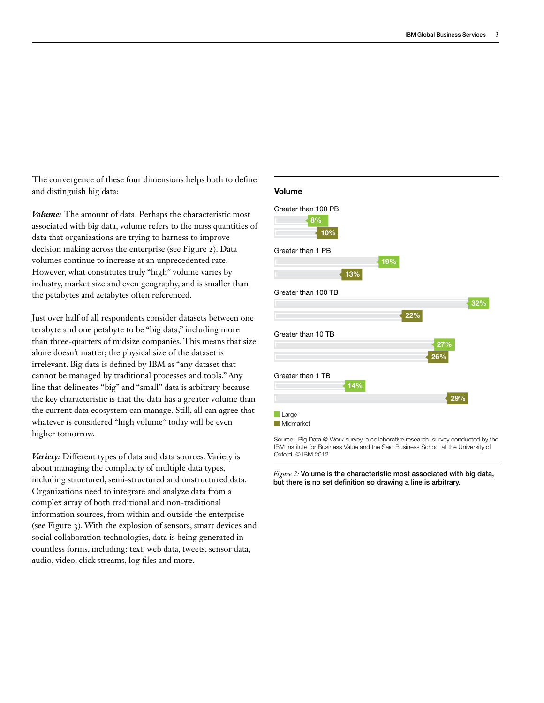The convergence of these four dimensions helps both to define and distinguish big data:

*Volume:* The amount of data. Perhaps the characteristic most associated with big data, volume refers to the mass quantities of data that organizations are trying to harness to improve decision making across the enterprise (see Figure 2). Data volumes continue to increase at an unprecedented rate. However, what constitutes truly "high" volume varies by industry, market size and even geography, and is smaller than the petabytes and zetabytes often referenced.

Just over half of all respondents consider datasets between one terabyte and one petabyte to be "big data," including more than three-quarters of midsize companies. This means that size alone doesn't matter; the physical size of the dataset is irrelevant. Big data is defined by IBM as "any dataset that cannot be managed by traditional processes and tools." Any line that delineates "big" and "small" data is arbitrary because the key characteristic is that the data has a greater volume than the current data ecosystem can manage. Still, all can agree that whatever is considered "high volume" today will be even higher tomorrow.

*Variety:* Different types of data and data sources. Variety is about managing the complexity of multiple data types, including structured, semi-structured and unstructured data. Organizations need to integrate and analyze data from a complex array of both traditional and non-traditional information sources, from within and outside the enterprise (see Figure 3). With the explosion of sensors, smart devices and social collaboration technologies, data is being generated in countless forms, including: text, web data, tweets, sensor data, audio, video, click streams, log files and more.

#### Volume



Source: Big Data @ Work survey, a collaborative research survey conducted by the IBM Institute for Business Value and the Saïd Business School at the University of Oxford. © IBM 2012

*Figure 2:* Volume is the characteristic most associated with big data, but there is no set definition so drawing a line is arbitrary.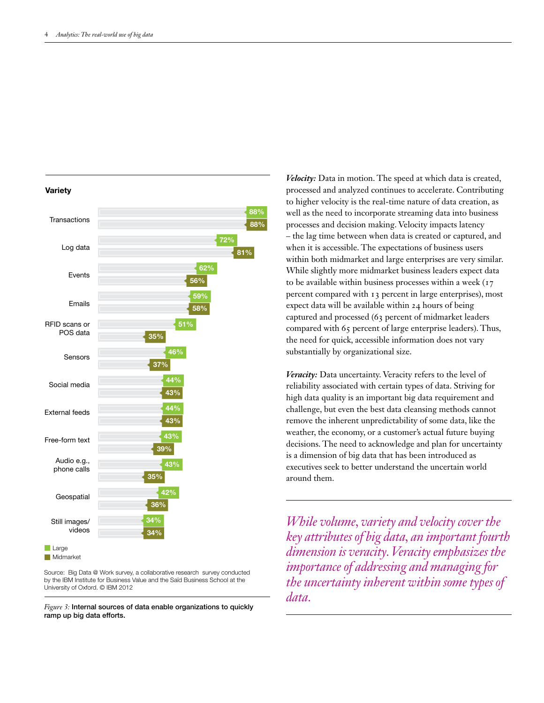

**Midmarket** 

Source: Big Data @ Work survey, a collaborative research survey conducted by the IBM Institute for Business Value and the Saïd Business School at the University of Oxford. © IBM 2012

*Figure 3:* Internal sources of data enable organizations to quickly ramp up big data efforts.

*Velocity:* Data in motion. The speed at which data is created, processed and analyzed continues to accelerate. Contributing to higher velocity is the real-time nature of data creation, as well as the need to incorporate streaming data into business processes and decision making. Velocity impacts latency – the lag time between when data is created or captured, and when it is accessible. The expectations of business users within both midmarket and large enterprises are very similar. While slightly more midmarket business leaders expect data to be available within business processes within a week (17 percent compared with 13 percent in large enterprises), most expect data will be available within 24 hours of being captured and processed (63 percent of midmarket leaders compared with 65 percent of large enterprise leaders). Thus, the need for quick, accessible information does not vary substantially by organizational size.

*Veracity:* Data uncertainty. Veracity refers to the level of reliability associated with certain types of data. Striving for high data quality is an important big data requirement and challenge, but even the best data cleansing methods cannot remove the inherent unpredictability of some data, like the weather, the economy, or a customer's actual future buying decisions. The need to acknowledge and plan for uncertainty is a dimension of big data that has been introduced as executives seek to better understand the uncertain world around them.

34% *While volume, variety and velocity cover the key attributes of big data, an important fourth dimension is veracity. Veracity emphasizes the importance of addressing and managing for the uncertainty inherent within some types of data.*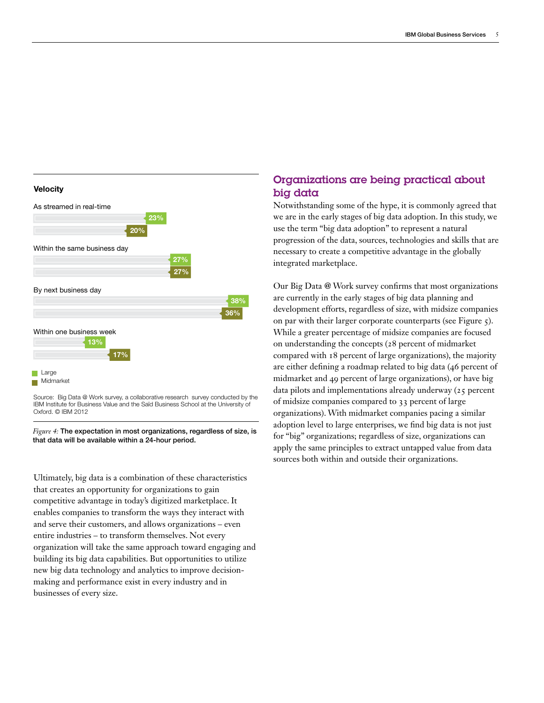#### **Velocity**



Source: Big Data @ Work survey, a collaborative research survey conducted by the IBM Institute for Business Value and the Saïd Business School at the University of Oxford. © IBM 2012

*Figure 4:* The expectation in most organizations, regardless of size, is that data will be available within a 24-hour period.

Ultimately, big data is a combination of these characteristics that creates an opportunity for organizations to gain competitive advantage in today's digitized marketplace. It enables companies to transform the ways they interact with and serve their customers, and allows organizations – even entire industries – to transform themselves. Not every organization will take the same approach toward engaging and building its big data capabilities. But opportunities to utilize new big data technology and analytics to improve decisionmaking and performance exist in every industry and in businesses of every size.

# Organizations are being practical about big data

Notwithstanding some of the hype, it is commonly agreed that we are in the early stages of big data adoption. In this study, we use the term "big data adoption" to represent a natural progression of the data, sources, technologies and skills that are necessary to create a competitive advantage in the globally integrated marketplace.

Our Big Data @ Work survey confirms that most organizations are currently in the early stages of big data planning and development efforts, regardless of size, with midsize companies on par with their larger corporate counterparts (see Figure 5). While a greater percentage of midsize companies are focused on understanding the concepts (28 percent of midmarket compared with 18 percent of large organizations), the majority are either defining a roadmap related to big data (46 percent of midmarket and 49 percent of large organizations), or have big data pilots and implementations already underway (25 percent of midsize companies compared to 33 percent of large organizations). With midmarket companies pacing a similar adoption level to large enterprises, we find big data is not just for "big" organizations; regardless of size, organizations can apply the same principles to extract untapped value from data sources both within and outside their organizations.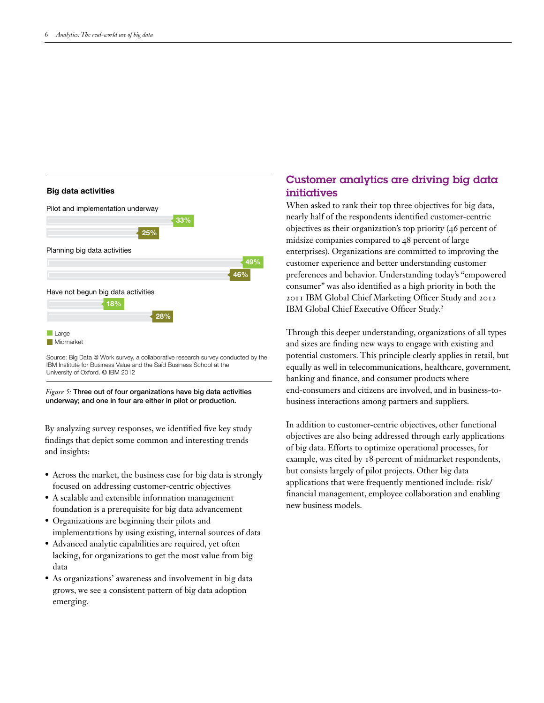#### Big data activities



Source: Big Data @ Work survey, a collaborative research survey conducted by the IBM Institute for Business Value and the Saïd Business School at the University of Oxford. © IBM 2012

*Figure 5:* Three out of four organizations have big data activities underway; and one in four are either in pilot or production.

By analyzing survey responses, we identified five key study findings that depict some common and interesting trends and insights:

- Across the market, the business case for big data is strongly focused on addressing customer-centric objectives
- • A scalable and extensible information management foundation is a prerequisite for big data advancement
- • Organizations are beginning their pilots and implementations by using existing, internal sources of data
- • Advanced analytic capabilities are required, yet often lacking, for organizations to get the most value from big data
- As organizations' awareness and involvement in big data grows, we see a consistent pattern of big data adoption emerging.

# Customer analytics are driving big data initiatives

When asked to rank their top three objectives for big data, nearly half of the respondents identified customer-centric objectives as their organization's top priority (46 percent of midsize companies compared to 48 percent of large enterprises). Organizations are committed to improving the customer experience and better understanding customer preferences and behavior. Understanding today's "empowered consumer" was also identified as a high priority in both the 2011 IBM Global Chief Marketing Officer Study and 2012 IBM Global Chief Executive Officer Study.<sup>2</sup>

Through this deeper understanding, organizations of all types and sizes are finding new ways to engage with existing and potential customers. This principle clearly applies in retail, but equally as well in telecommunications, healthcare, government, banking and finance, and consumer products where end-consumers and citizens are involved, and in business-tobusiness interactions among partners and suppliers.

In addition to customer-centric objectives, other functional objectives are also being addressed through early applications of big data. Efforts to optimize operational processes, for example, was cited by 18 percent of midmarket respondents, but consists largely of pilot projects. Other big data applications that were frequently mentioned include: risk/ financial management, employee collaboration and enabling new business models.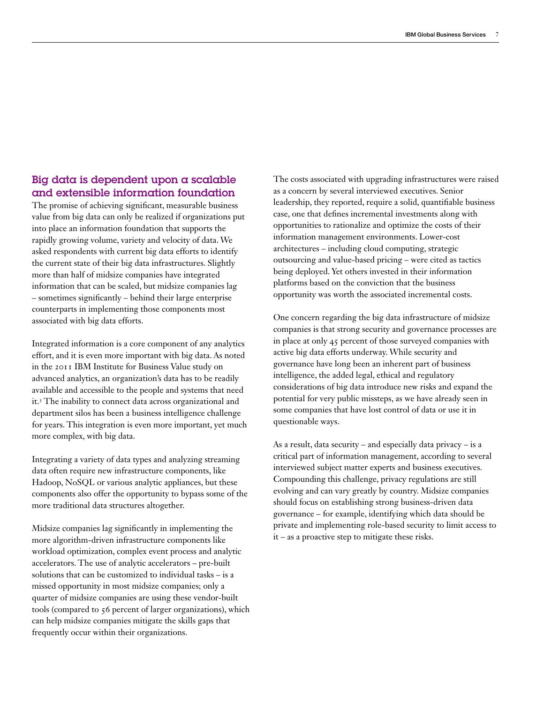# Big data is dependent upon a scalable and extensible information foundation

The promise of achieving significant, measurable business value from big data can only be realized if organizations put into place an information foundation that supports the rapidly growing volume, variety and velocity of data. We asked respondents with current big data efforts to identify the current state of their big data infrastructures. Slightly more than half of midsize companies have integrated information that can be scaled, but midsize companies lag – sometimes significantly – behind their large enterprise counterparts in implementing those components most associated with big data efforts.

Integrated information is a core component of any analytics effort, and it is even more important with big data. As noted in the 2011 IBM Institute for Business Value study on advanced analytics, an organization's data has to be readily available and accessible to the people and systems that need it.3 The inability to connect data across organizational and department silos has been a business intelligence challenge for years. This integration is even more important, yet much more complex, with big data.

Integrating a variety of data types and analyzing streaming data often require new infrastructure components, like Hadoop, NoSQL or various analytic appliances, but these components also offer the opportunity to bypass some of the more traditional data structures altogether.

Midsize companies lag significantly in implementing the more algorithm-driven infrastructure components like workload optimization, complex event process and analytic accelerators. The use of analytic accelerators – pre-built solutions that can be customized to individual tasks – is a missed opportunity in most midsize companies; only a quarter of midsize companies are using these vendor-built tools (compared to 56 percent of larger organizations), which can help midsize companies mitigate the skills gaps that frequently occur within their organizations.

The costs associated with upgrading infrastructures were raised as a concern by several interviewed executives. Senior leadership, they reported, require a solid, quantifiable business case, one that defines incremental investments along with opportunities to rationalize and optimize the costs of their information management environments. Lower-cost architectures – including cloud computing, strategic outsourcing and value-based pricing – were cited as tactics being deployed. Yet others invested in their information platforms based on the conviction that the business opportunity was worth the associated incremental costs.

One concern regarding the big data infrastructure of midsize companies is that strong security and governance processes are in place at only 45 percent of those surveyed companies with active big data efforts underway. While security and governance have long been an inherent part of business intelligence, the added legal, ethical and regulatory considerations of big data introduce new risks and expand the potential for very public missteps, as we have already seen in some companies that have lost control of data or use it in questionable ways.

As a result, data security – and especially data privacy – is a critical part of information management, according to several interviewed subject matter experts and business executives. Compounding this challenge, privacy regulations are still evolving and can vary greatly by country. Midsize companies should focus on establishing strong business-driven data governance – for example, identifying which data should be private and implementing role-based security to limit access to it – as a proactive step to mitigate these risks.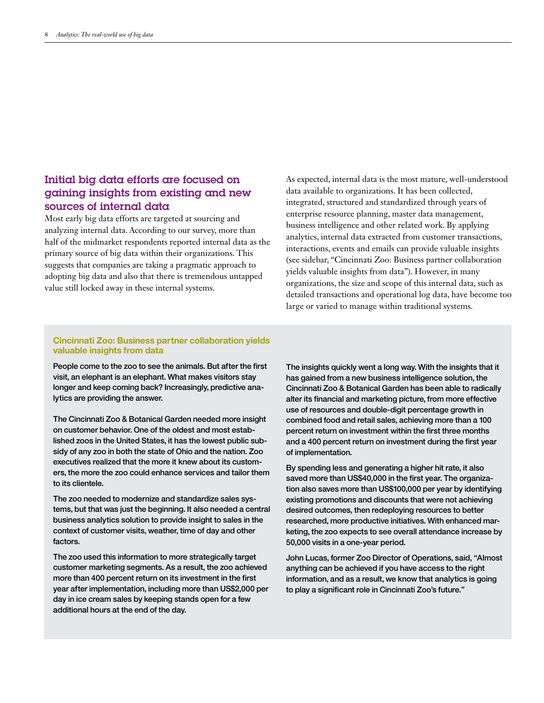# Initial big data efforts are focused on gaining insights from existing and new sources of internal data

Most early big data efforts are targeted at sourcing and analyzing internal data. According to our survey, more than half of the midmarket respondents reported internal data as the primary source of big data within their organizations. This suggests that companies are taking a pragmatic approach to adopting big data and also that there is tremendous untapped value still locked away in these internal systems.

As expected, internal data is the most mature, well-understood data available to organizations. It has been collected, integrated, structured and standardized through years of enterprise resource planning, master data management, business intelligence and other related work. By applying analytics, internal data extracted from customer transactions, interactions, events and emails can provide valuable insights (see sidebar, "Cincinnati Zoo: Business partner collaboration yields valuable insights from data"). However, in many organizations, the size and scope of this internal data, such as detailed transactions and operational log data, have become too large or varied to manage within traditional systems.

## **Cincinnati Zoo: Business partner collaboration yields valuable insights from data**

People come to the zoo to see the animals. But after the first visit, an elephant is an elephant. What makes visitors stay longer and keep coming back? Increasingly, predictive analytics are providing the answer.

The Cincinnati Zoo & Botanical Garden needed more insight on customer behavior. One of the oldest and most established zoos in the United States, it has the lowest public subsidy of any zoo in both the state of Ohio and the nation. Zoo executives realized that the more it knew about its customers, the more the zoo could enhance services and tailor them to its clientele.

The zoo needed to modernize and standardize sales systems, but that was just the beginning. It also needed a central business analytics solution to provide insight to sales in the context of customer visits, weather, time of day and other factors.

The zoo used this information to more strategically target customer marketing segments. As a result, the zoo achieved more than 400 percent return on its investment in the first year after implementation, including more than US\$2,000 per day in ice cream sales by keeping stands open for a few additional hours at the end of the day.

The insights quickly went a long way. With the insights that it has gained from a new business intelligence solution, the Cincinnati Zoo & Botanical Garden has been able to radically alter its financial and marketing picture, from more effective use of resources and double-digit percentage growth in combined food and retail sales, achieving more than a 100 percent return on investment within the first three months and a 400 percent return on investment during the first year of implementation.

By spending less and generating a higher hit rate, it also saved more than US\$40,000 in the first year. The organization also saves more than US\$100,000 per year by identifying existing promotions and discounts that were not achieving desired outcomes, then redeploying resources to better researched, more productive initiatives. With enhanced marketing, the zoo expects to see overall attendance increase by 50,000 visits in a one-year period.

John Lucas, former Zoo Director of Operations, said, "Almost anything can be achieved if you have access to the right information, and as a result, we know that analytics is going to play a significant role in Cincinnati Zoo's future."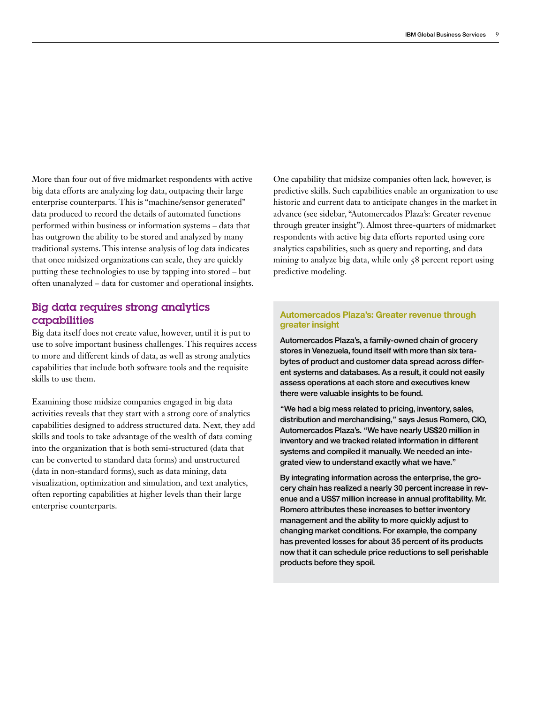More than four out of five midmarket respondents with active big data efforts are analyzing log data, outpacing their large enterprise counterparts. This is "machine/sensor generated" data produced to record the details of automated functions performed within business or information systems – data that has outgrown the ability to be stored and analyzed by many traditional systems. This intense analysis of log data indicates that once midsized organizations can scale, they are quickly putting these technologies to use by tapping into stored – but often unanalyzed – data for customer and operational insights.

# Big data requires strong analytics capabilities

Big data itself does not create value, however, until it is put to use to solve important business challenges. This requires access to more and different kinds of data, as well as strong analytics capabilities that include both software tools and the requisite skills to use them.

Examining those midsize companies engaged in big data activities reveals that they start with a strong core of analytics capabilities designed to address structured data. Next, they add skills and tools to take advantage of the wealth of data coming into the organization that is both semi-structured (data that can be converted to standard data forms) and unstructured (data in non-standard forms), such as data mining, data visualization, optimization and simulation, and text analytics, often reporting capabilities at higher levels than their large enterprise counterparts.

One capability that midsize companies often lack, however, is predictive skills. Such capabilities enable an organization to use historic and current data to anticipate changes in the market in advance (see sidebar, "Automercados Plaza's: Greater revenue through greater insight"). Almost three-quarters of midmarket respondents with active big data efforts reported using core analytics capabilities, such as query and reporting, and data mining to analyze big data, while only  $\zeta$ 8 percent report using predictive modeling.

## **Automercados Plaza's: Greater revenue through greater insight**

Automercados Plaza's, a family-owned chain of grocery stores in Venezuela, found itself with more than six terabytes of product and customer data spread across different systems and databases. As a result, it could not easily assess operations at each store and executives knew there were valuable insights to be found.

"We had a big mess related to pricing, inventory, sales, distribution and merchandising," says Jesus Romero, CIO, Automercados Plaza's. "We have nearly US\$20 million in inventory and we tracked related information in different systems and compiled it manually. We needed an integrated view to understand exactly what we have."

By integrating information across the enterprise, the grocery chain has realized a nearly 30 percent increase in revenue and a US\$7 million increase in annual profitability. Mr. Romero attributes these increases to better inventory management and the ability to more quickly adjust to changing market conditions. For example, the company has prevented losses for about 35 percent of its products now that it can schedule price reductions to sell perishable products before they spoil.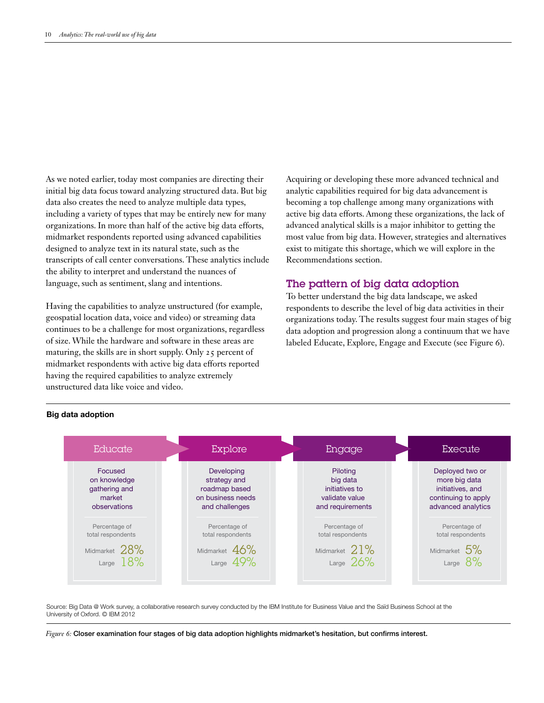As we noted earlier, today most companies are directing their initial big data focus toward analyzing structured data. But big data also creates the need to analyze multiple data types, including a variety of types that may be entirely new for many organizations. In more than half of the active big data efforts, midmarket respondents reported using advanced capabilities designed to analyze text in its natural state, such as the transcripts of call center conversations. These analytics include the ability to interpret and understand the nuances of language, such as sentiment, slang and intentions.

Having the capabilities to analyze unstructured (for example, geospatial location data, voice and video) or streaming data continues to be a challenge for most organizations, regardless of size. While the hardware and software in these areas are maturing, the skills are in short supply. Only 25 percent of midmarket respondents with active big data efforts reported having the required capabilities to analyze extremely unstructured data like voice and video.

Acquiring or developing these more advanced technical and analytic capabilities required for big data advancement is becoming a top challenge among many organizations with active big data efforts. Among these organizations, the lack of advanced analytical skills is a major inhibitor to getting the most value from big data. However, strategies and alternatives exist to mitigate this shortage, which we will explore in the Recommendations section.

# The pattern of big data adoption

To better understand the big data landscape, we asked respondents to describe the level of big data activities in their organizations today. The results suggest four main stages of big data adoption and progression along a continuum that we have labeled Educate, Explore, Engage and Execute (see Figure 6).



#### Big data adoption

Source: Big Data @ Work survey, a collaborative research survey conducted by the IBM Institute for Business Value and the Saïd Business School at the University of Oxford. © IBM 2012

*Figure 6:* Closer examination four stages of big data adoption highlights midmarket's hesitation, but confirms interest.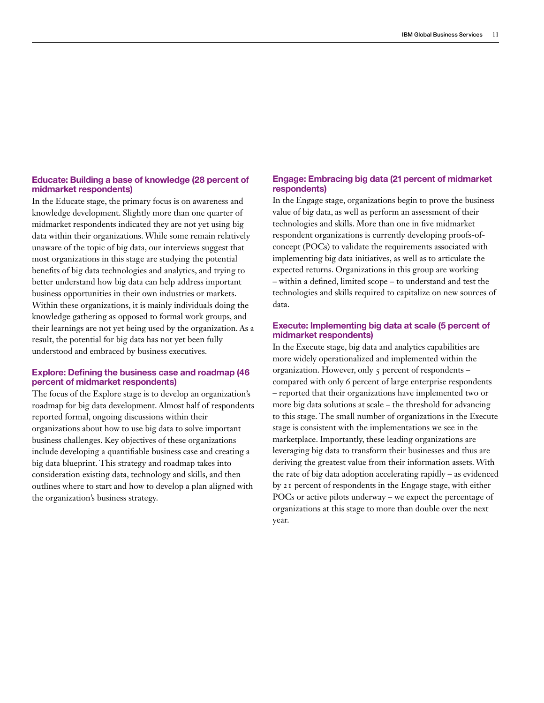#### **Educate: Building a base of knowledge (28 percent of midmarket respondents)**

In the Educate stage, the primary focus is on awareness and knowledge development. Slightly more than one quarter of midmarket respondents indicated they are not yet using big data within their organizations. While some remain relatively unaware of the topic of big data, our interviews suggest that most organizations in this stage are studying the potential benefits of big data technologies and analytics, and trying to better understand how big data can help address important business opportunities in their own industries or markets. Within these organizations, it is mainly individuals doing the knowledge gathering as opposed to formal work groups, and their learnings are not yet being used by the organization. As a result, the potential for big data has not yet been fully understood and embraced by business executives.

### **Explore: Defining the business case and roadmap (46 percent of midmarket respondents)**

The focus of the Explore stage is to develop an organization's roadmap for big data development. Almost half of respondents reported formal, ongoing discussions within their organizations about how to use big data to solve important business challenges. Key objectives of these organizations include developing a quantifiable business case and creating a big data blueprint. This strategy and roadmap takes into consideration existing data, technology and skills, and then outlines where to start and how to develop a plan aligned with the organization's business strategy.

## **Engage: Embracing big data (21 percent of midmarket respondents)**

In the Engage stage, organizations begin to prove the business value of big data, as well as perform an assessment of their technologies and skills. More than one in five midmarket respondent organizations is currently developing proofs-ofconcept (POCs) to validate the requirements associated with implementing big data initiatives, as well as to articulate the expected returns. Organizations in this group are working – within a defined, limited scope – to understand and test the technologies and skills required to capitalize on new sources of data.

#### **Execute: Implementing big data at scale (5 percent of midmarket respondents)**

In the Execute stage, big data and analytics capabilities are more widely operationalized and implemented within the organization. However, only 5 percent of respondents – compared with only 6 percent of large enterprise respondents – reported that their organizations have implemented two or more big data solutions at scale – the threshold for advancing to this stage. The small number of organizations in the Execute stage is consistent with the implementations we see in the marketplace. Importantly, these leading organizations are leveraging big data to transform their businesses and thus are deriving the greatest value from their information assets. With the rate of big data adoption accelerating rapidly – as evidenced by 21 percent of respondents in the Engage stage, with either POCs or active pilots underway – we expect the percentage of organizations at this stage to more than double over the next year.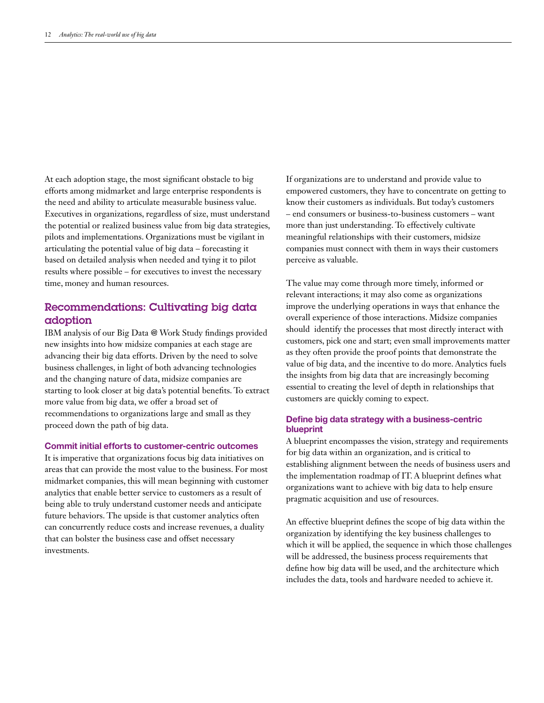At each adoption stage, the most significant obstacle to big efforts among midmarket and large enterprise respondents is the need and ability to articulate measurable business value. Executives in organizations, regardless of size, must understand the potential or realized business value from big data strategies, pilots and implementations. Organizations must be vigilant in articulating the potential value of big data – forecasting it based on detailed analysis when needed and tying it to pilot results where possible – for executives to invest the necessary time, money and human resources.

# Recommendations: Cultivating big data adoption

IBM analysis of our Big Data @ Work Study findings provided new insights into how midsize companies at each stage are advancing their big data efforts. Driven by the need to solve business challenges, in light of both advancing technologies and the changing nature of data, midsize companies are starting to look closer at big data's potential benefits. To extract more value from big data, we offer a broad set of recommendations to organizations large and small as they proceed down the path of big data.

#### **Commit initial efforts to customer-centric outcomes**

It is imperative that organizations focus big data initiatives on areas that can provide the most value to the business. For most midmarket companies, this will mean beginning with customer analytics that enable better service to customers as a result of being able to truly understand customer needs and anticipate future behaviors. The upside is that customer analytics often can concurrently reduce costs and increase revenues, a duality that can bolster the business case and offset necessary investments.

If organizations are to understand and provide value to empowered customers, they have to concentrate on getting to know their customers as individuals. But today's customers – end consumers or business-to-business customers – want more than just understanding. To effectively cultivate meaningful relationships with their customers, midsize companies must connect with them in ways their customers perceive as valuable.

The value may come through more timely, informed or relevant interactions; it may also come as organizations improve the underlying operations in ways that enhance the overall experience of those interactions. Midsize companies should identify the processes that most directly interact with customers, pick one and start; even small improvements matter as they often provide the proof points that demonstrate the value of big data, and the incentive to do more. Analytics fuels the insights from big data that are increasingly becoming essential to creating the level of depth in relationships that customers are quickly coming to expect.

## **Define big data strategy with a business-centric blueprint**

A blueprint encompasses the vision, strategy and requirements for big data within an organization, and is critical to establishing alignment between the needs of business users and the implementation roadmap of IT. A blueprint defines what organizations want to achieve with big data to help ensure pragmatic acquisition and use of resources.

An effective blueprint defines the scope of big data within the organization by identifying the key business challenges to which it will be applied, the sequence in which those challenges will be addressed, the business process requirements that define how big data will be used, and the architecture which includes the data, tools and hardware needed to achieve it.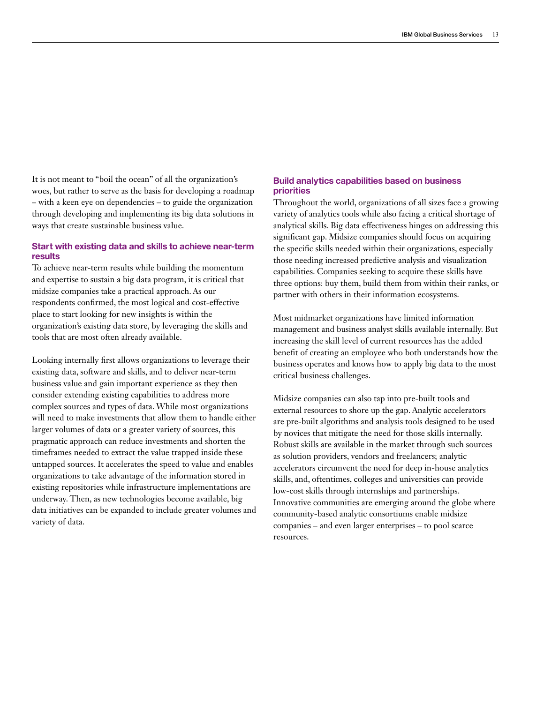It is not meant to "boil the ocean" of all the organization's woes, but rather to serve as the basis for developing a roadmap – with a keen eye on dependencies – to guide the organization through developing and implementing its big data solutions in ways that create sustainable business value.

## **Start with existing data and skills to achieve near-term results**

To achieve near-term results while building the momentum and expertise to sustain a big data program, it is critical that midsize companies take a practical approach. As our respondents confirmed, the most logical and cost-effective place to start looking for new insights is within the organization's existing data store, by leveraging the skills and tools that are most often already available.

Looking internally first allows organizations to leverage their existing data, software and skills, and to deliver near-term business value and gain important experience as they then consider extending existing capabilities to address more complex sources and types of data. While most organizations will need to make investments that allow them to handle either larger volumes of data or a greater variety of sources, this pragmatic approach can reduce investments and shorten the timeframes needed to extract the value trapped inside these untapped sources. It accelerates the speed to value and enables organizations to take advantage of the information stored in existing repositories while infrastructure implementations are underway. Then, as new technologies become available, big data initiatives can be expanded to include greater volumes and variety of data.

# **Build analytics capabilities based on business priorities**

Throughout the world, organizations of all sizes face a growing variety of analytics tools while also facing a critical shortage of analytical skills. Big data effectiveness hinges on addressing this significant gap. Midsize companies should focus on acquiring the specific skills needed within their organizations, especially those needing increased predictive analysis and visualization capabilities. Companies seeking to acquire these skills have three options: buy them, build them from within their ranks, or partner with others in their information ecosystems.

Most midmarket organizations have limited information management and business analyst skills available internally. But increasing the skill level of current resources has the added benefit of creating an employee who both understands how the business operates and knows how to apply big data to the most critical business challenges.

Midsize companies can also tap into pre-built tools and external resources to shore up the gap. Analytic accelerators are pre-built algorithms and analysis tools designed to be used by novices that mitigate the need for those skills internally. Robust skills are available in the market through such sources as solution providers, vendors and freelancers; analytic accelerators circumvent the need for deep in-house analytics skills, and, oftentimes, colleges and universities can provide low-cost skills through internships and partnerships. Innovative communities are emerging around the globe where community-based analytic consortiums enable midsize companies – and even larger enterprises – to pool scarce resources.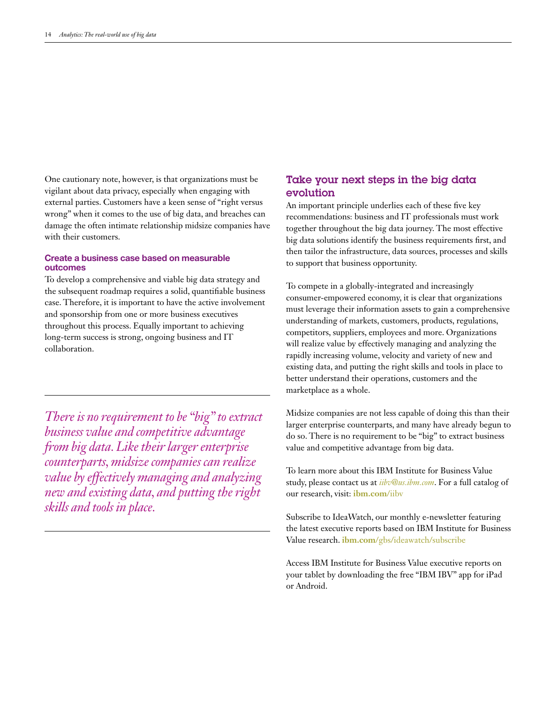One cautionary note, however, is that organizations must be vigilant about data privacy, especially when engaging with external parties. Customers have a keen sense of "right versus wrong" when it comes to the use of big data, and breaches can damage the often intimate relationship midsize companies have with their customers.

## **Create a business case based on measurable outcomes**

To develop a comprehensive and viable big data strategy and the subsequent roadmap requires a solid, quantifiable business case. Therefore, it is important to have the active involvement and sponsorship from one or more business executives throughout this process. Equally important to achieving long-term success is strong, ongoing business and IT collaboration.

*There is no requirement to be "big" to extract business value and competitive advantage from big data. Like their larger enterprise counterparts, midsize companies can realize value by effectively managing and analyzing new and existing data, and putting the right skills and tools in place.*

# Take your next steps in the big data evolution

An important principle underlies each of these five key recommendations: business and IT professionals must work together throughout the big data journey. The most effective big data solutions identify the business requirements first, and then tailor the infrastructure, data sources, processes and skills to support that business opportunity.

To compete in a globally-integrated and increasingly consumer-empowered economy, it is clear that organizations must leverage their information assets to gain a comprehensive understanding of markets, customers, products, regulations, competitors, suppliers, employees and more. Organizations will realize value by effectively managing and analyzing the rapidly increasing volume, velocity and variety of new and existing data, and putting the right skills and tools in place to better understand their operations, customers and the marketplace as a whole.

Midsize companies are not less capable of doing this than their larger enterprise counterparts, and many have already begun to do so. There is no requirement to be "big" to extract business value and competitive advantage from big data.

To learn more about this IBM Institute for Business Value study, please contact us at *iibv@us.ibm.com*. For a full catalog of our research, visit: **[ibm.com](http://www.ibm.com/iibv)**/iibv

Subscribe to IdeaWatch, our monthly e-newsletter featuring the latest executive reports based on IBM Institute for Business Value research. **ibm.com**[/gbs/ideawatch/subscribe](http://www.ibm.com/gbs/ideawatch/subscribe)

Access IBM Institute for Business Value executive reports on your tablet by downloading the free "IBM IBV" app for iPad or Android.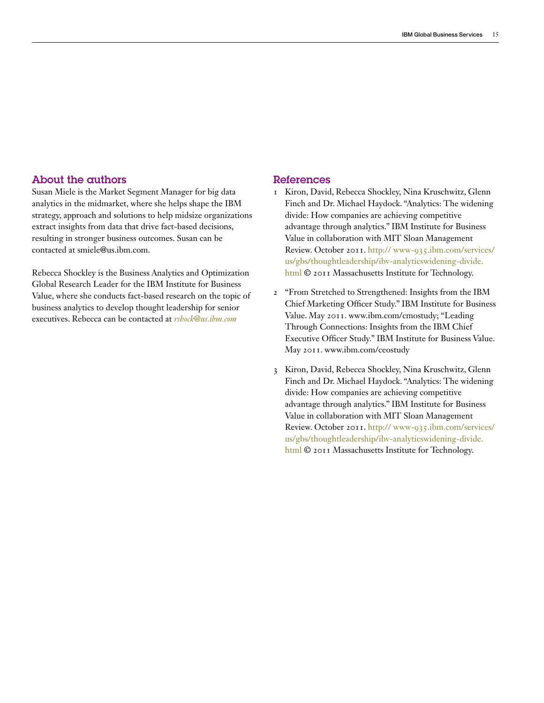## About the authors

Susan Miele is the Market Segment Manager for big data analytics in the midmarket, where she helps shape the IBM strategy, approach and solutions to help midsize organizations extract insights from data that drive fact-based decisions, resulting in stronger business outcomes. Susan can be contacted at smiele@us.ibm.com.

Rebecca Shockley is the Business Analytics and Optimization Global Research Leader for the IBM Institute for Business Value, where she conducts fact-based research on the topic of business analytics to develop thought leadership for senior executives. Rebecca can be contacted at *[rshock@us.ibm.com](mailto:rshock@us.ibm.com%20)*

### References

- 1 Kiron, David, Rebecca Shockley, Nina Kruschwitz, Glenn Finch and Dr. Michael Haydock. "Analytics: The widening divide: How companies are achieving competitive advantage through analytics." IBM Institute for Business Value in collaboration with MIT Sloan Management Review. October 2011. [http:// www-935.ibm.com/services/](http://www-935.ibm.com/services/us/gbs/thoughtleadership/ibv-analytics-widening-divide.html) [us/gbs/thoughtleadership/ibv-analyticswidening-divide.](http://www-935.ibm.com/services/us/gbs/thoughtleadership/ibv-analytics-widening-divide.html) [html](http://www-935.ibm.com/services/us/gbs/thoughtleadership/ibv-analytics-widening-divide.html) © 2011 Massachusetts Institute for Technology.
- 2 "From Stretched to Strengthened: Insights from the IBM Chief Marketing Officer Study." IBM Institute for Business Value. May 2011. [www.ibm.com/cmostudy;](http://www.ibm.com/cmostudy) "Leading Through Connections: Insights from the IBM Chief Executive Officer Study." IBM Institute for Business Value. May 2011. [www.ibm.com/ceostudy](http://www.ibm.com/ceostudy)
- 3 Kiron, David, Rebecca Shockley, Nina Kruschwitz, Glenn Finch and Dr. Michael Haydock. "Analytics: The widening divide: How companies are achieving competitive advantage through analytics." IBM Institute for Business Value in collaboration with MIT Sloan Management Review. October 2011. [http:// www-935.ibm.com/services/](http://www-935.ibm.com/services/us/gbs/thoughtleadership/ibv-analytics-widening-divide.html) [us/gbs/thoughtleadership/ibv-analyticswidening-divide.](http://www-935.ibm.com/services/us/gbs/thoughtleadership/ibv-analytics-widening-divide.html) [html](http://www-935.ibm.com/services/us/gbs/thoughtleadership/ibv-analytics-widening-divide.html) © 2011 Massachusetts Institute for Technology.